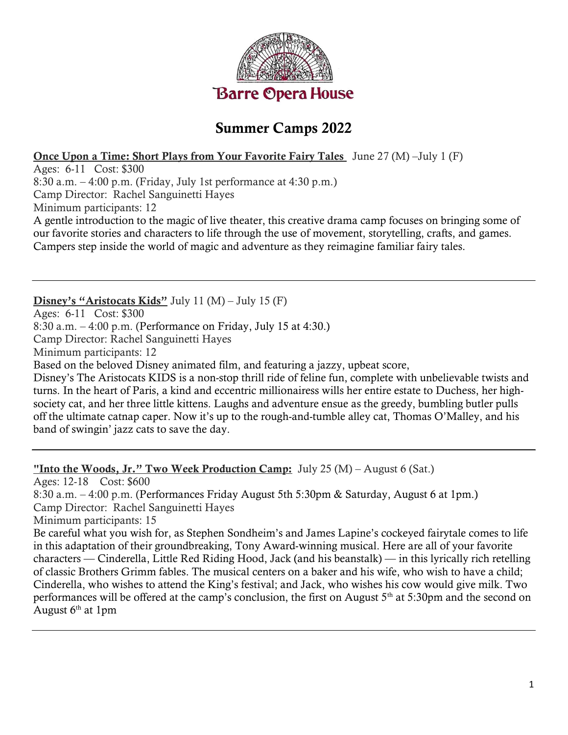

### Summer Camps 2022

#### Once Upon a Time: Short Plays from Your Favorite Fairy Tales June 27 (M) –July 1 (F)

Ages: 6-11 Cost: \$300

8:30 a.m.  $-4:00$  p.m. (Friday, July 1st performance at  $4:30$  p.m.)

Camp Director: Rachel Sanguinetti Hayes

Minimum participants: 12

A gentle introduction to the magic of live theater, this creative drama camp focuses on bringing some of our favorite stories and characters to life through the use of movement, storytelling, crafts, and games. Campers step inside the world of magic and adventure as they reimagine familiar fairy tales.

#### Disney's "Aristocats Kids" July 11 (M) – July 15 (F)

Ages: 6-11 Cost: \$300 8:30 a.m. – 4:00 p.m. (Performance on Friday, July 15 at 4:30.) Camp Director: Rachel Sanguinetti Hayes Minimum participants: 12 Based on the beloved Disney animated film, and featuring a jazzy, upbeat score, Disney's The Aristocats KIDS is a non-stop thrill ride of feline fun, complete with unbelievable twists and turns. In the heart of Paris, a kind and eccentric millionairess wills her entire estate to Duchess, her highsociety cat, and her three little kittens. Laughs and adventure ensue as the greedy, bumbling butler pulls off the ultimate catnap caper. Now it's up to the rough-and-tumble alley cat, Thomas O'Malley, and his band of swingin' jazz cats to save the day.

#### "Into the Woods, Jr." Two Week Production Camp: July 25  $(M)$  – August 6 (Sat.)

Ages: 12-18 Cost: \$600

8:30 a.m. – 4:00 p.m. (Performances Friday August 5th 5:30pm & Saturday, August 6 at 1pm.)

Camp Director: Rachel Sanguinetti Hayes

Minimum participants: 15

Be careful what you wish for, as Stephen Sondheim's and James Lapine's cockeyed fairytale comes to life in this adaptation of their groundbreaking, Tony Award-winning musical. Here are all of your favorite characters — Cinderella, Little Red Riding Hood, Jack (and his beanstalk) — in this lyrically rich retelling of classic Brothers Grimm fables. The musical centers on a baker and his wife, who wish to have a child; Cinderella, who wishes to attend the King's festival; and Jack, who wishes his cow would give milk. Two performances will be offered at the camp's conclusion, the first on August 5<sup>th</sup> at 5:30pm and the second on August  $6<sup>th</sup>$  at 1pm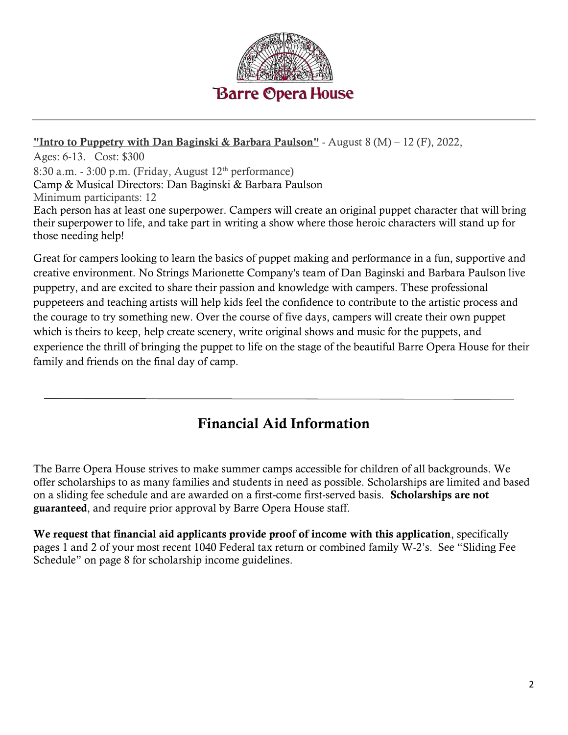

#### "Intro to Puppetry with Dan Baginski & Barbara Paulson" - August  $8(M) - 12(F)$ , 2022,

Ages: 6-13. Cost: \$300 8:30 a.m. - 3:00 p.m. (Friday, August  $12<sup>th</sup>$  performance) Camp & Musical Directors: Dan Baginski & Barbara Paulson Minimum participants: 12 Each person has at least one superpower. Campers will create an original puppet character that will bring their superpower to life, and take part in writing a show where those heroic characters will stand up for those needing help!

Great for campers looking to learn the basics of puppet making and performance in a fun, supportive and creative environment. No Strings Marionette Company's team of Dan Baginski and Barbara Paulson live puppetry, and are excited to share their passion and knowledge with campers. These professional puppeteers and teaching artists will help kids feel the confidence to contribute to the artistic process and the courage to try something new. Over the course of five days, campers will create their own puppet which is theirs to keep, help create scenery, write original shows and music for the puppets, and experience the thrill of bringing the puppet to life on the stage of the beautiful Barre Opera House for their family and friends on the final day of camp.

# Financial Aid Information

The Barre Opera House strives to make summer camps accessible for children of all backgrounds. We offer scholarships to as many families and students in need as possible. Scholarships are limited and based on a sliding fee schedule and are awarded on a first-come first-served basis. Scholarships are not guaranteed, and require prior approval by Barre Opera House staff.

We request that financial aid applicants provide proof of income with this application, specifically pages 1 and 2 of your most recent 1040 Federal tax return or combined family W-2's. See "Sliding Fee Schedule" on page 8 for scholarship income guidelines.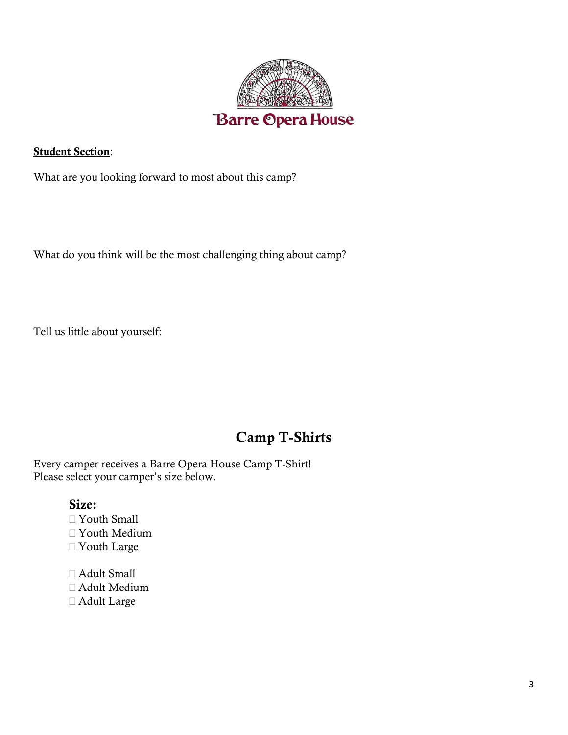

**Student Section:** 

What are you looking forward to most about this camp?

What do you think will be the most challenging thing about camp?

Tell us little about yourself:

# Camp T-Shirts

Every camper receives a Barre Opera House Camp T-Shirt! Please select your camper's size below.

### Size:

- Youth Small Youth Medium Youth Large
- Adult Small Adult Medium
- Adult Large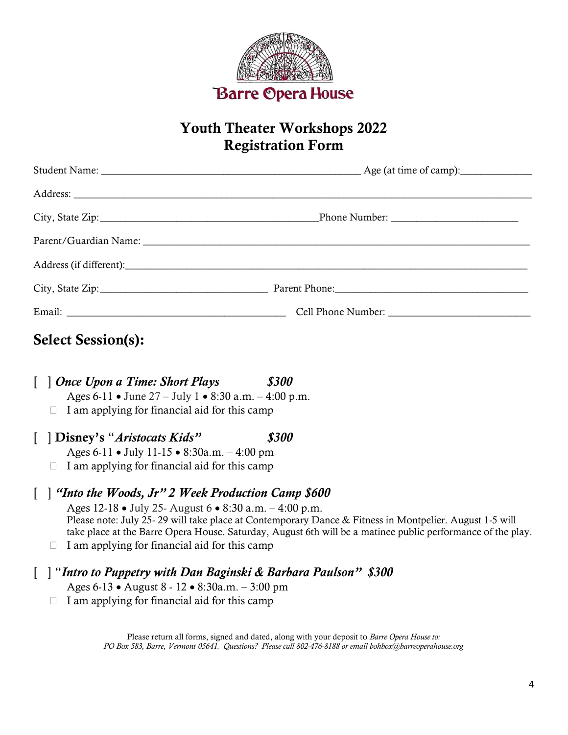

## Youth Theater Workshops 2022 Registration Form

# Select Session(s):

[ ] Once Upon a Time: Short Plays \$300 Ages  $6-11 \cdot \text{June } 27 - \text{July } 1 \cdot 8:30 \text{ a.m.} - 4:00 \text{ p.m.}$  $\Box$  I am applying for financial aid for this camp

[ ] Disney's "Aristocats Kids" \$300 Ages 6-11 • July 11-15 • 8:30a.m. – 4:00 pm

 $\Box$  I am applying for financial aid for this camp

### [ ] "Into the Woods, Jr" 2 Week Production Camp \$600

Ages  $12-18 \cdot$  July 25- August 6  $\cdot$  8:30 a.m.  $-4:00$  p.m. Please note: July 25- 29 will take place at Contemporary Dance & Fitness in Montpelier. August 1-5 will take place at the Barre Opera House. Saturday, August 6th will be a matinee public performance of the play.

 $\Box$  I am applying for financial aid for this camp

### [ ] "Intro to Puppetry with Dan Baginski & Barbara Paulson" \$300

- Ages  $6-13 \cdot \text{August } 8 12 \cdot 8:30a.m. 3:00 pm$
- $\Box$  I am applying for financial aid for this camp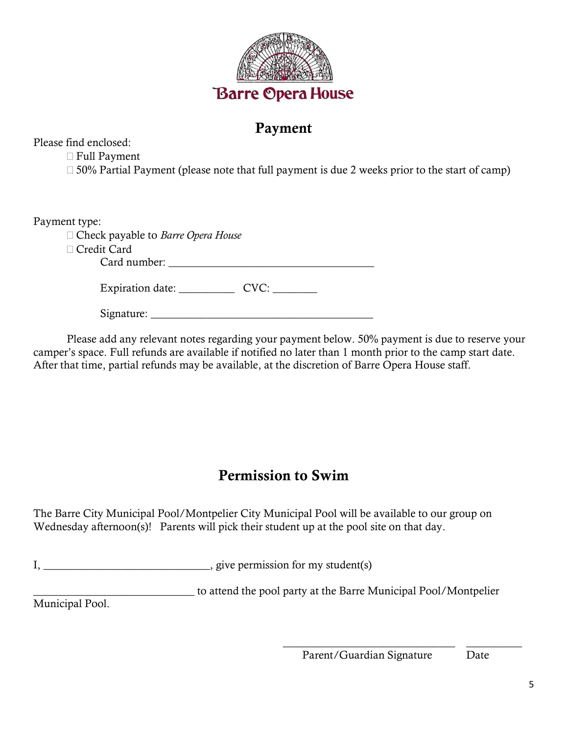

### Payment

Please find enclosed:

Full Payment

 $\Box$  50% Partial Payment (please note that full payment is due 2 weeks prior to the start of camp)

Payment type:

| $=$ $\alpha$ , $=$ $\alpha$ $=$ $\alpha$ , $=$ $\alpha$ , $=$ $\alpha$ |  |
|------------------------------------------------------------------------|--|
| $\Box$ Check payable to <i>Barre Opera House</i>                       |  |
| □ Credit Card                                                          |  |
| Card number:                                                           |  |
|                                                                        |  |
| Expiration date:<br>$CVC$ :                                            |  |
|                                                                        |  |
| Signature:                                                             |  |

Please add any relevant notes regarding your payment below. 50% payment is due to reserve your camper's space. Full refunds are available if notified no later than 1 month prior to the camp start date. After that time, partial refunds may be available, at the discretion of Barre Opera House staff.

# Permission to Swim

The Barre City Municipal Pool/Montpelier City Municipal Pool will be available to our group on Wednesday afternoon(s)! Parents will pick their student up at the pool site on that day.

I, \_\_\_\_\_\_\_\_\_\_\_\_\_\_\_\_\_\_\_\_\_\_\_\_\_\_\_\_\_\_, give permission for my student(s)

\_\_\_\_\_\_\_\_\_\_\_\_\_\_\_\_\_\_\_\_\_\_\_\_\_\_\_\_\_ to attend the pool party at the Barre Municipal Pool/Montpelier

Municipal Pool.

 $\overline{\phantom{a}}$  , and the contract of the contract of the contract of the contract of the contract of the contract of the contract of the contract of the contract of the contract of the contract of the contract of the contrac Parent/Guardian Signature Date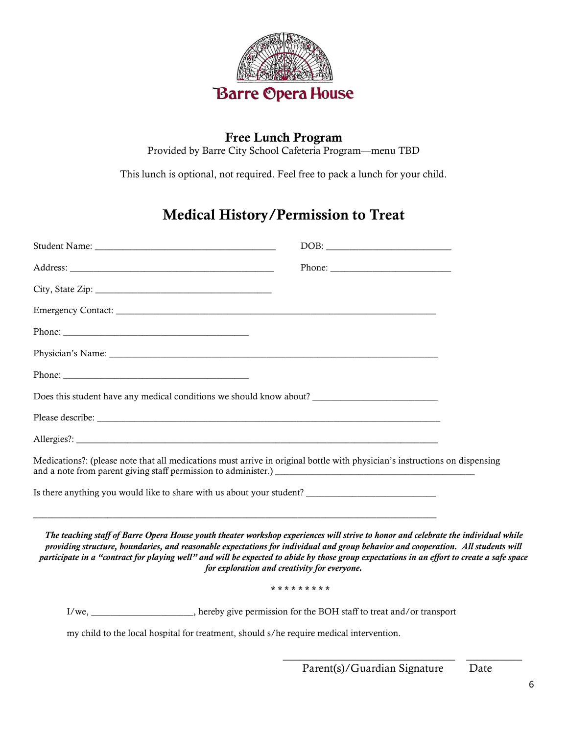

# Free Lunch Program

Provided by Barre City School Cafeteria Program—menu TBD

This lunch is optional, not required. Feel free to pack a lunch for your child.

# Medical History/Permission to Treat

| $DOB: \begin{tabular}{ c c c } \hline \multicolumn{3}{ c }{\textbf{DOB}}: & \multicolumn{3}{ c }{\textbf{O}}: & \multicolumn{3}{ c }{\textbf{OOB}}: \\ \hline \multicolumn{3}{ c }{\textbf{DOB}}: & \multicolumn{3}{ c }{\textbf{O}}: & \multicolumn{3}{ c }{\textbf{O}}: & \multicolumn{3}{ c }{\textbf{O}}: & \multicolumn{3}{ c }{\textbf{O}}: & \multicolumn{3}{ c }{\textbf{O}}: & \multicolumn{3}{ c }{\textbf{O}}: & \multicolumn$                             |  |
|-----------------------------------------------------------------------------------------------------------------------------------------------------------------------------------------------------------------------------------------------------------------------------------------------------------------------------------------------------------------------------------------------------------------------------------------------------------------------|--|
|                                                                                                                                                                                                                                                                                                                                                                                                                                                                       |  |
|                                                                                                                                                                                                                                                                                                                                                                                                                                                                       |  |
|                                                                                                                                                                                                                                                                                                                                                                                                                                                                       |  |
|                                                                                                                                                                                                                                                                                                                                                                                                                                                                       |  |
| Physician's Name: Name:                                                                                                                                                                                                                                                                                                                                                                                                                                               |  |
|                                                                                                                                                                                                                                                                                                                                                                                                                                                                       |  |
| Does this student have any medical conditions we should know about?                                                                                                                                                                                                                                                                                                                                                                                                   |  |
|                                                                                                                                                                                                                                                                                                                                                                                                                                                                       |  |
|                                                                                                                                                                                                                                                                                                                                                                                                                                                                       |  |
| Medications?: (please note that all medications must arrive in original bottle with physician's instructions on dispensing                                                                                                                                                                                                                                                                                                                                            |  |
| Is there anything you would like to share with us about your student?                                                                                                                                                                                                                                                                                                                                                                                                 |  |
| The teaching staff of Barre Opera House youth theater workshop experiences will strive to honor and celebrate the individual while<br>providing structure, boundaries, and reasonable expectations for individual and group behavior and cooperation. All students will<br>participate in a "contract for playing well" and will be expected to abide by those group expectations in an effort to create a safe space<br>for exploration and creativity for everyone. |  |
| * * * * * * * * *                                                                                                                                                                                                                                                                                                                                                                                                                                                     |  |
| I/we, ____________________, hereby give permission for the BOH staff to treat and/or transport                                                                                                                                                                                                                                                                                                                                                                        |  |

my child to the local hospital for treatment, should s/he require medical intervention.

 $\overline{\phantom{a}}$  , and the contract of the contract of the contract of the contract of the contract of the contract of the contract of the contract of the contract of the contract of the contract of the contract of the contrac

Parent(s)/Guardian Signature Date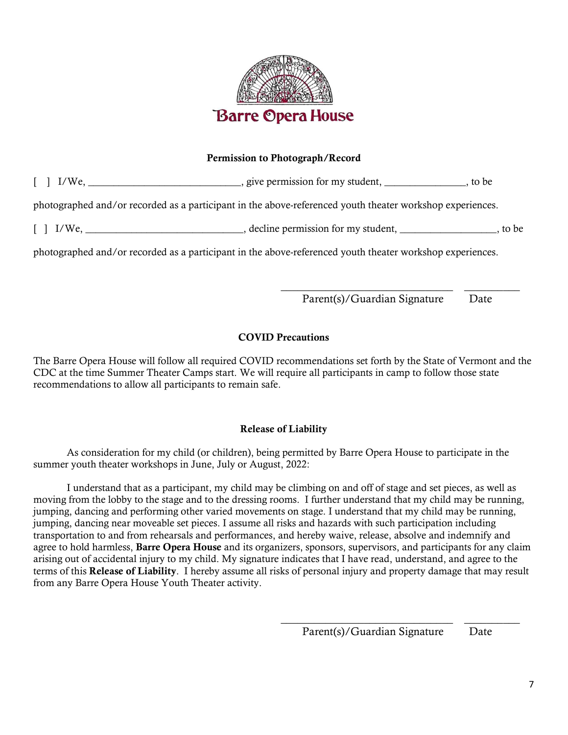

#### Permission to Photograph/Record

[ ] I/We, \_\_\_\_\_\_\_\_\_\_\_\_\_\_\_\_\_\_\_\_\_\_\_\_\_\_\_\_\_\_, give permission for my student, \_\_\_\_\_\_\_\_\_\_\_\_\_\_\_\_, to be photographed and/or recorded as a participant in the above-referenced youth theater workshop experiences.

[ ] I/We, \_\_\_\_\_\_\_\_\_\_\_\_\_\_\_\_\_\_\_\_\_\_\_\_\_\_\_\_\_\_\_, decline permission for my student, \_\_\_\_\_\_\_\_\_\_\_\_\_\_\_\_\_\_\_, to be

photographed and/or recorded as a participant in the above-referenced youth theater workshop experiences.

\_\_\_\_\_\_\_\_\_\_\_\_\_\_\_\_\_\_\_\_\_\_\_\_\_\_\_\_\_\_\_ \_\_\_\_\_\_\_\_\_\_ Parent(s)/Guardian Signature Date

#### COVID Precautions

The Barre Opera House will follow all required COVID recommendations set forth by the State of Vermont and the CDC at the time Summer Theater Camps start. We will require all participants in camp to follow those state recommendations to allow all participants to remain safe.

#### Release of Liability

As consideration for my child (or children), being permitted by Barre Opera House to participate in the summer youth theater workshops in June, July or August, 2022:

 I understand that as a participant, my child may be climbing on and off of stage and set pieces, as well as moving from the lobby to the stage and to the dressing rooms. I further understand that my child may be running, jumping, dancing and performing other varied movements on stage. I understand that my child may be running, jumping, dancing near moveable set pieces. I assume all risks and hazards with such participation including transportation to and from rehearsals and performances, and hereby waive, release, absolve and indemnify and agree to hold harmless, Barre Opera House and its organizers, sponsors, supervisors, and participants for any claim arising out of accidental injury to my child. My signature indicates that I have read, understand, and agree to the terms of this Release of Liability. I hereby assume all risks of personal injury and property damage that may result from any Barre Opera House Youth Theater activity.

> \_\_\_\_\_\_\_\_\_\_\_\_\_\_\_\_\_\_\_\_\_\_\_\_\_\_\_\_\_\_\_ \_\_\_\_\_\_\_\_\_\_ Parent(s)/Guardian Signature Date